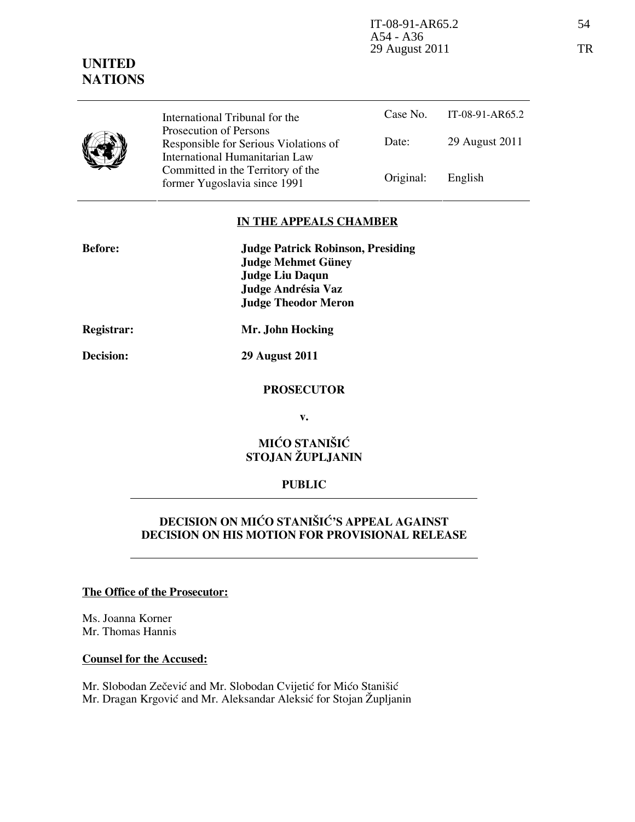$IT-08-91-AR65.2$  54 A54 - A36 29 August 2011 TR

# UNITED **NATIONS**

Case No. IT-08-91-AR65.2 Date: 29 August 2011 International Tribunal for the Prosecution of Persons Responsible for Serious Violations of International Humanitarian Law Committed in the Territory of the

#### IN THE APPEALS CHAMBER

Former Yugoslavia since 1991 **Original:** English

| <b>Before:</b> | <b>Judge Patrick Robinson, Presiding</b> |
|----------------|------------------------------------------|
|                | <b>Judge Mehmet Güney</b>                |
|                | <b>Judge Liu Daqun</b>                   |
|                | Judge Andrésia Vaz                       |
|                | <b>Judge Theodor Meron</b>               |
| Registrar:     | Mr. John Hocking                         |

Decision: 29 August 2011

#### PROSECUTOR

v.

## MIĆO STANIŠIĆ STOJAN ŽUPLJANIN

#### PUBLIC

## DECISION ON MIĆO STANIŠIĆ'S APPEAL AGAINST DECISION ON HIS MOTION FOR PROVISIONAL RELEASE

#### The Office of the Prosecutor:

Ms. Joanna Korner Mr. Thomas Hannis

#### Counsel for the Accused:

Mr. Slobodan Zečević and Mr. Slobodan Cvijetić for Mićo Stanišić Mr. Dragan Krgović and Mr. Aleksandar Aleksić for Stojan Župljanin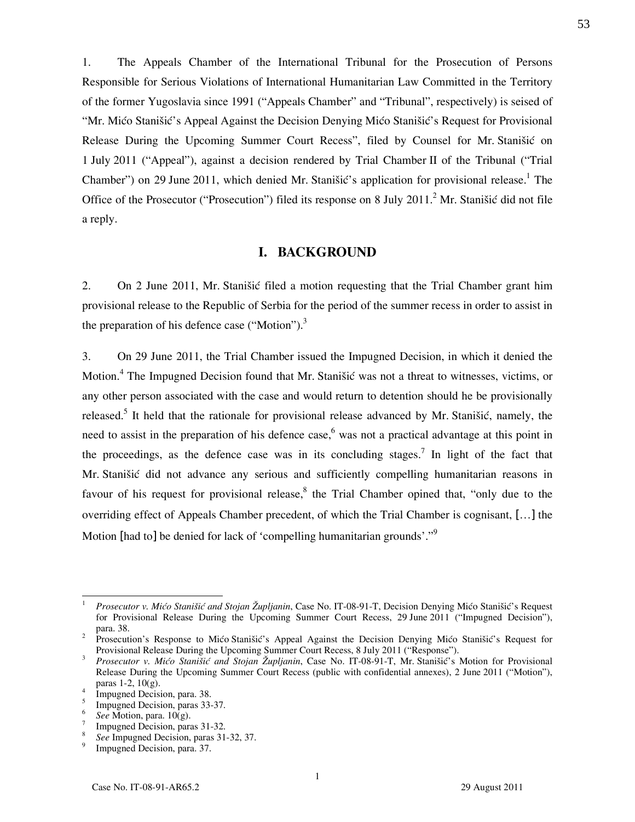1. The Appeals Chamber of the International Tribunal for the Prosecution of Persons Responsible for Serious Violations of International Humanitarian Law Committed in the Territory of the former Yugoslavia since 1991 ("Appeals Chamber" and "Tribunal", respectively) is seised of "Mr. Mićo Stanišić's Appeal Against the Decision Denying Mićo Stanišić's Request for Provisional Release During the Upcoming Summer Court Recess", filed by Counsel for Mr. Stanišić on 1 July 2011 ("Appeal"), against a decision rendered by Trial Chamber II of the Tribunal ("Trial Chamber") on 29 June 2011, which denied Mr. Stanišić's application for provisional release.<sup>1</sup> The Office of the Prosecutor ("Prosecution") filed its response on 8 July 2011.<sup>2</sup> Mr. Stanišić did not file a reply.

### I. BACKGROUND

2. On 2 June 2011, Mr. Stanišić filed a motion requesting that the Trial Chamber grant him provisional release to the Republic of Serbia for the period of the summer recess in order to assist in the preparation of his defence case ("Motion"). $3$ 

3. On 29 June 2011, the Trial Chamber issued the Impugned Decision, in which it denied the Motion.<sup>4</sup> The Impugned Decision found that Mr. Stanišić was not a threat to witnesses, victims, or any other person associated with the case and would return to detention should he be provisionally released.<sup>5</sup> It held that the rationale for provisional release advanced by Mr. Stanišić, namely, the need to assist in the preparation of his defence case,<sup>6</sup> was not a practical advantage at this point in the proceedings, as the defence case was in its concluding stages.<sup>7</sup> In light of the fact that Mr. Stanišić did not advance any serious and sufficiently compelling humanitarian reasons in favour of his request for provisional release,  $8$  the Trial Chamber opined that, "only due to the overriding effect of Appeals Chamber precedent, of which the Trial Chamber is cognisant, […] the Motion [had to] be denied for lack of 'compelling humanitarian grounds'."<sup>9</sup>

 $\frac{1}{1}$  Prosecutor v. Mićo Stanišić and Stojan Župljanin, Case No. IT-08-91-T, Decision Denying Mićo Stanišić's Request for Provisional Release During the Upcoming Summer Court Recess, 29 June 2011 ("Impugned Decision"), para. 38. 2 Prosecution's Response to Mićo Stanišić's Appeal Against the Decision Denying Mićo Stanišić's Request for

Provisional Release During the Upcoming Summer Court Recess, 8 July 2011 ("Response").

<sup>3</sup> Prosecutor v. Mićo Stanišić and Stojan Župljanin, Case No. IT-08-91-T, Mr. Stanišić's Motion for Provisional Release During the Upcoming Summer Court Recess (public with confidential annexes), 2 June 2011 ("Motion"), paras 1-2, 10(g).

<sup>4</sup> Impugned Decision, para. 38. 5

Impugned Decision, paras 33-37. 6

See Motion, para.  $10(g)$ . 7

Impugned Decision, paras 31-32. 8

See Impugned Decision, paras 31-32, 37. 9

Impugned Decision, para. 37.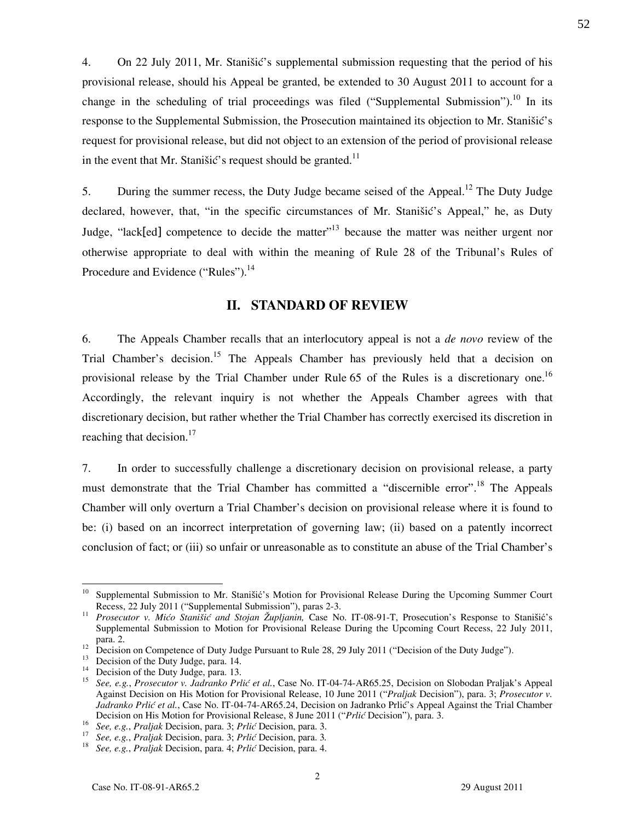4. On 22 July 2011, Mr. Stanišić's supplemental submission requesting that the period of his provisional release, should his Appeal be granted, be extended to 30 August 2011 to account for a change in the scheduling of trial proceedings was filed ("Supplemental Submission").<sup>10</sup> In its response to the Supplemental Submission, the Prosecution maintained its objection to Mr. Stanišić's request for provisional release, but did not object to an extension of the period of provisional release in the event that Mr. Stanišić's request should be granted.<sup>11</sup>

5. During the summer recess, the Duty Judge became seised of the Appeal.<sup>12</sup> The Duty Judge declared, however, that, "in the specific circumstances of Mr. Stanišić's Appeal," he, as Duty Judge, "lack[ed] competence to decide the matter"<sup>13</sup> because the matter was neither urgent nor otherwise appropriate to deal with within the meaning of Rule 28 of the Tribunal's Rules of Procedure and Evidence ("Rules").<sup>14</sup>

#### II. STANDARD OF REVIEW

6. The Appeals Chamber recalls that an interlocutory appeal is not a de novo review of the Trial Chamber's decision.<sup>15</sup> The Appeals Chamber has previously held that a decision on provisional release by the Trial Chamber under Rule 65 of the Rules is a discretionary one.<sup>16</sup> Accordingly, the relevant inquiry is not whether the Appeals Chamber agrees with that discretionary decision, but rather whether the Trial Chamber has correctly exercised its discretion in reaching that decision. $17$ 

7. In order to successfully challenge a discretionary decision on provisional release, a party must demonstrate that the Trial Chamber has committed a "discernible error".<sup>18</sup> The Appeals Chamber will only overturn a Trial Chamber's decision on provisional release where it is found to be: (i) based on an incorrect interpretation of governing law; (ii) based on a patently incorrect conclusion of fact; or (iii) so unfair or unreasonable as to constitute an abuse of the Trial Chamber's

 $\overline{a}$ 

<sup>10</sup> Supplemental Submission to Mr. Stanišić's Motion for Provisional Release During the Upcoming Summer Court Recess, 22 July 2011 ("Supplemental Submission"), paras 2-3.

<sup>&</sup>lt;sup>11</sup> Prosecutor v. Mićo Stanišić and Stojan Župljanin, Case No. IT-08-91-T, Prosecution's Response to Stanišić's Supplemental Submission to Motion for Provisional Release During the Upcoming Court Recess, 22 July 2011, para. 2.

<sup>&</sup>lt;sup>12</sup> Decision on Competence of Duty Judge Pursuant to Rule 28, 29 July 2011 ("Decision of the Duty Judge").

<sup>&</sup>lt;sup>13</sup> Decision of the Duty Judge, para. 14.

<sup>&</sup>lt;sup>14</sup> Decision of the Duty Judge, para. 13.<br><sup>15</sup> See a.g. *Prosecutor v. Ladvante Pri* 

<sup>15</sup> See, e.g., Prosecutor v. Jadranko Prlić et al., Case No. IT-04-74-AR65.25, Decision on Slobodan Praljak's Appeal Against Decision on His Motion for Provisional Release, 10 June 2011 ("Praljak Decision"), para. 3; Prosecutor v. Jadranko Prlić et al., Case No. IT-04-74-AR65.24, Decision on Jadranko Prlić's Appeal Against the Trial Chamber Decision on His Motion for Provisional Release, 8 June 2011 ("Prlić Decision"), para. 3.

<sup>16</sup> See, e.g., Praljak Decision, para. 3; Prlić Decision, para. 3.

<sup>17</sup> See, e.g., Praljak Decision, para. 3; Prlić Decision, para. 3.

<sup>18</sup> See, e.g., Praljak Decision, para. 4; Prlić Decision, para. 4.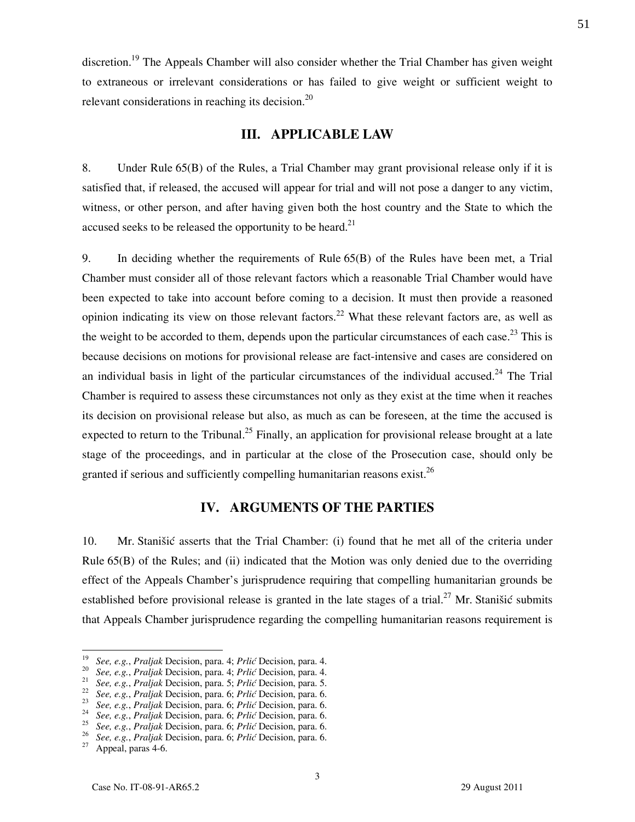discretion.<sup>19</sup> The Appeals Chamber will also consider whether the Trial Chamber has given weight to extraneous or irrelevant considerations or has failed to give weight or sufficient weight to relevant considerations in reaching its decision.<sup>20</sup>

#### III. APPLICABLE LAW

8. Under Rule 65(B) of the Rules, a Trial Chamber may grant provisional release only if it is satisfied that, if released, the accused will appear for trial and will not pose a danger to any victim, witness, or other person, and after having given both the host country and the State to which the accused seeks to be released the opportunity to be heard.<sup>21</sup>

9. In deciding whether the requirements of Rule 65(B) of the Rules have been met, a Trial Chamber must consider all of those relevant factors which a reasonable Trial Chamber would have been expected to take into account before coming to a decision. It must then provide a reasoned opinion indicating its view on those relevant factors.<sup>22</sup> What these relevant factors are, as well as the weight to be accorded to them, depends upon the particular circumstances of each case.<sup>23</sup> This is because decisions on motions for provisional release are fact-intensive and cases are considered on an individual basis in light of the particular circumstances of the individual accused.<sup>24</sup> The Trial Chamber is required to assess these circumstances not only as they exist at the time when it reaches its decision on provisional release but also, as much as can be foreseen, at the time the accused is expected to return to the Tribunal.<sup>25</sup> Finally, an application for provisional release brought at a late stage of the proceedings, and in particular at the close of the Prosecution case, should only be granted if serious and sufficiently compelling humanitarian reasons exist.<sup>26</sup>

## IV. ARGUMENTS OF THE PARTIES

10. Mr. Stanišić asserts that the Trial Chamber: (i) found that he met all of the criteria under Rule 65(B) of the Rules; and (ii) indicated that the Motion was only denied due to the overriding effect of the Appeals Chamber's jurisprudence requiring that compelling humanitarian grounds be established before provisional release is granted in the late stages of a trial.<sup>27</sup> Mr. Stanišić submits that Appeals Chamber jurisprudence regarding the compelling humanitarian reasons requirement is

 $\overline{a}$ 

<sup>19</sup> See, e.g., Praljak Decision, para. 4; Prlić Decision, para. 4.

<sup>&</sup>lt;sup>20</sup> See, e.g., Praljak Decision, para. 4; Prlić Decision, para. 4.

<sup>&</sup>lt;sup>21</sup> See, e.g., Praljak Decision, para. 5; Prlić Decision, para. 5.

 $22$  See, e.g., Praljak Decision, para. 6; Prlić Decision, para. 6.

 $2^3$  See, e.g., Praljak Decision, para. 6; Prlić Decision, para. 6.

 $24$  See, e.g., Praljak Decision, para. 6; Prlić Decision, para. 6.

 $25$  See, e.g., Praljak Decision, para. 6; Prlić Decision, para. 6.

<sup>&</sup>lt;sup>26</sup> See, e.g., Praljak Decision, para. 6; Prlić Decision, para. 6.

 $27$  Appeal, paras 4-6.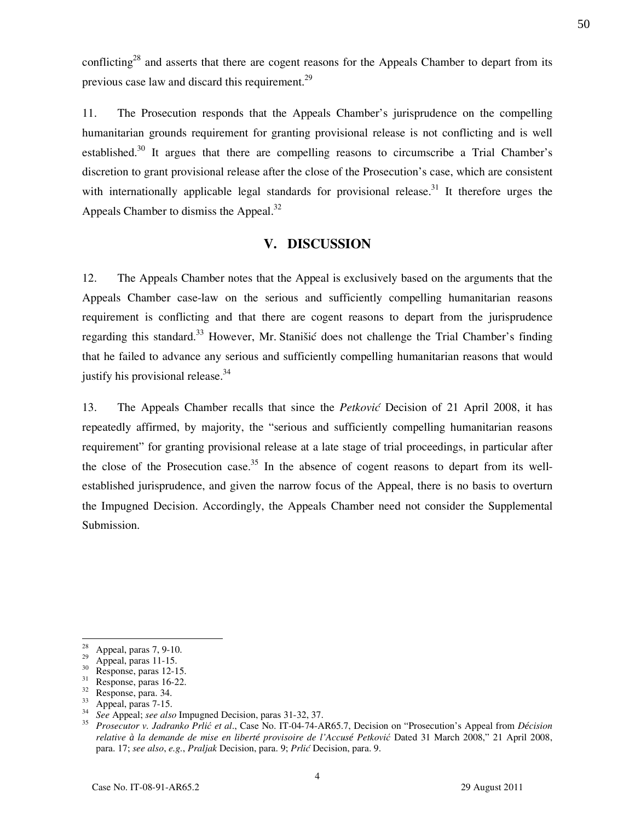conflicting<sup>28</sup> and asserts that there are cogent reasons for the Appeals Chamber to depart from its previous case law and discard this requirement. $^{29}$ 

11. The Prosecution responds that the Appeals Chamber's jurisprudence on the compelling humanitarian grounds requirement for granting provisional release is not conflicting and is well established.<sup>30</sup> It argues that there are compelling reasons to circumscribe a Trial Chamber's discretion to grant provisional release after the close of the Prosecution's case, which are consistent with internationally applicable legal standards for provisional release.<sup>31</sup> It therefore urges the Appeals Chamber to dismiss the Appeal. $32$ 

## V. DISCUSSION

12. The Appeals Chamber notes that the Appeal is exclusively based on the arguments that the Appeals Chamber case-law on the serious and sufficiently compelling humanitarian reasons requirement is conflicting and that there are cogent reasons to depart from the jurisprudence regarding this standard.<sup>33</sup> However, Mr. Stanišić does not challenge the Trial Chamber's finding that he failed to advance any serious and sufficiently compelling humanitarian reasons that would justify his provisional release.<sup>34</sup>

13. The Appeals Chamber recalls that since the Petković Decision of 21 April 2008, it has repeatedly affirmed, by majority, the "serious and sufficiently compelling humanitarian reasons requirement" for granting provisional release at a late stage of trial proceedings, in particular after the close of the Prosecution case.<sup>35</sup> In the absence of cogent reasons to depart from its wellestablished jurisprudence, and given the narrow focus of the Appeal, there is no basis to overturn the Impugned Decision. Accordingly, the Appeals Chamber need not consider the Supplemental Submission.

 $\overline{a}$ 

 $\frac{28}{29}$  Appeal, paras 7, 9-10.

Appeal, paras 11-15.

 $rac{30}{31}$  Response, paras 12-15.<br>Response, paras 16-22.

Response, paras 16-22.

 $\frac{32}{33}$  Response, para. 34.

Appeal, paras 7-15.

<sup>34</sup> See Appeal; see also Impugned Decision, paras 31-32, 37.

<sup>35</sup> Prosecutor v. Jadranko Prlić et al., Case No. IT-04-74-AR65.7, Decision on "Prosecution's Appeal from D*é*cision relative *à* la demande de mise en libert*é* provisoire de l'Accus*é* Petković Dated 31 March 2008," 21 April 2008, para. 17; see also, e.g., Praljak Decision, para. 9; Prlić Decision, para. 9.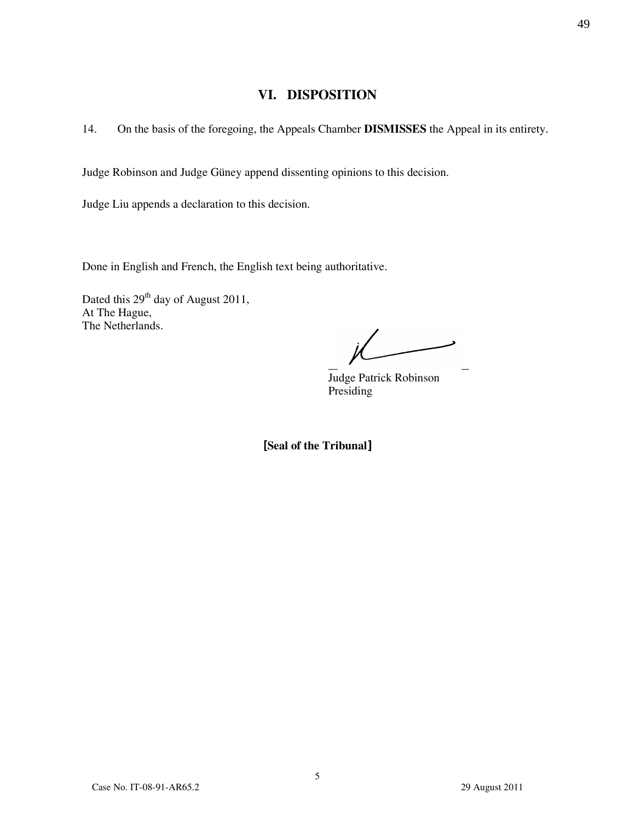## VI. DISPOSITION

14. On the basis of the foregoing, the Appeals Chamber DISMISSES the Appeal in its entirety.

Judge Robinson and Judge Güney append dissenting opinions to this decision.

Judge Liu appends a declaration to this decision.

Done in English and French, the English text being authoritative.

Dated this 29<sup>th</sup> day of August 2011, At The Hague, The Netherlands.

 $\overline{\phantom{a}}$   $\overline{\phantom{a}}$   $\overline{\phantom{a}}$   $\overline{\phantom{a}}$   $\overline{\phantom{a}}$   $\overline{\phantom{a}}$   $\overline{\phantom{a}}$   $\overline{\phantom{a}}$   $\overline{\phantom{a}}$   $\overline{\phantom{a}}$   $\overline{\phantom{a}}$   $\overline{\phantom{a}}$   $\overline{\phantom{a}}$   $\overline{\phantom{a}}$   $\overline{\phantom{a}}$   $\overline{\phantom{a}}$   $\overline{\phantom{a}}$   $\overline{\phantom{a}}$   $\overline{\$ 

Judge Patrick Robinson Presiding

[Seal of the Tribunal]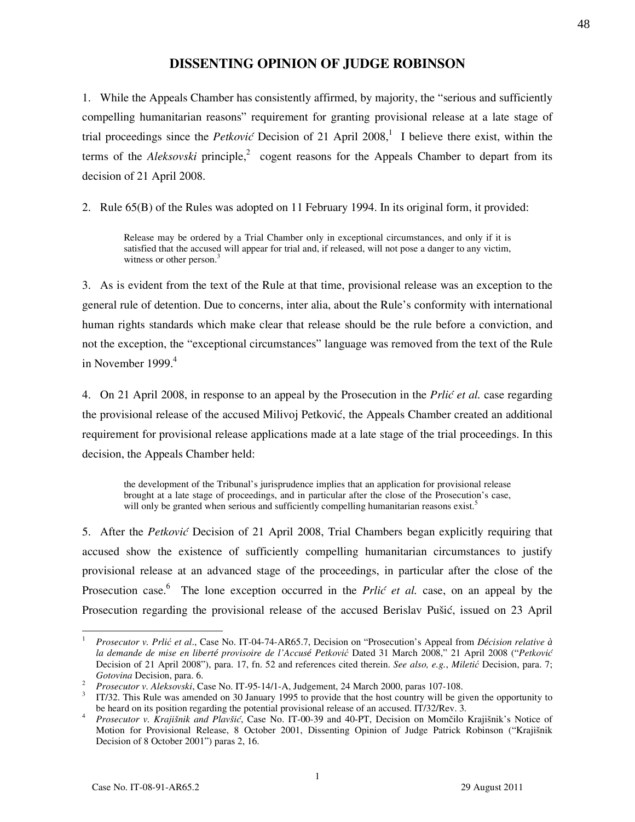## DISSENTING OPINION OF JUDGE ROBINSON

1. While the Appeals Chamber has consistently affirmed, by majority, the "serious and sufficiently compelling humanitarian reasons" requirement for granting provisional release at a late stage of trial proceedings since the *Petković* Decision of 21 April 2008,<sup>1</sup> I believe there exist, within the terms of the *Aleksovski* principle,<sup>2</sup> cogent reasons for the Appeals Chamber to depart from its decision of 21 April 2008.

2. Rule 65(B) of the Rules was adopted on 11 February 1994. In its original form, it provided:

Release may be ordered by a Trial Chamber only in exceptional circumstances, and only if it is satisfied that the accused will appear for trial and, if released, will not pose a danger to any victim, witness or other person.<sup>3</sup>

3. As is evident from the text of the Rule at that time, provisional release was an exception to the general rule of detention. Due to concerns, inter alia, about the Rule's conformity with international human rights standards which make clear that release should be the rule before a conviction, and not the exception, the "exceptional circumstances" language was removed from the text of the Rule in November 1999. $4$ 

4. On 21 April 2008, in response to an appeal by the Prosecution in the *Prlić et al.* case regarding the provisional release of the accused Milivoj Petković, the Appeals Chamber created an additional requirement for provisional release applications made at a late stage of the trial proceedings. In this decision, the Appeals Chamber held:

the development of the Tribunal's jurisprudence implies that an application for provisional release brought at a late stage of proceedings, and in particular after the close of the Prosecution's case, will only be granted when serious and sufficiently compelling humanitarian reasons exist.<sup>5</sup>

5. After the Petković Decision of 21 April 2008, Trial Chambers began explicitly requiring that accused show the existence of sufficiently compelling humanitarian circumstances to justify provisional release at an advanced stage of the proceedings, in particular after the close of the Prosecution case.<sup>6</sup> The lone exception occurred in the *Prlić et al.* case, on an appeal by the Prosecution regarding the provisional release of the accused Berislav Pušić, issued on 23 April

 $\overline{a}$ 1 Prosecutor v. Prlić et al., Case No. IT-04-74-AR65.7, Decision on "Prosecution's Appeal from D*é*cision relative *à* la demande de mise en libert*é* provisoire de l'Accus*é* Petković Dated 31 March 2008," 21 April 2008 ("Petković Decision of 21 April 2008"), para. 17, fn. 52 and references cited therein. See also, e.g., Miletić Decision, para. 7; Gotovina Decision, para. 6.

<sup>2</sup> Prosecutor v. Aleksovski, Case No. IT-95-14/1-A, Judgement, 24 March 2000, paras 107-108.

<sup>&</sup>lt;sup>3</sup> IT/32. This Rule was amended on 30 January 1995 to provide that the host country will be given the opportunity to be heard on its position regarding the potential provisional release of an accused. IT/32/Rev. 3.

<sup>4</sup> Prosecutor v. Krajišnik and Plavšić, Case No. IT-00-39 and 40-PT, Decision on Momčilo Krajišnik's Notice of Motion for Provisional Release, 8 October 2001, Dissenting Opinion of Judge Patrick Robinson ("Krajišnik Decision of 8 October 2001") paras 2, 16.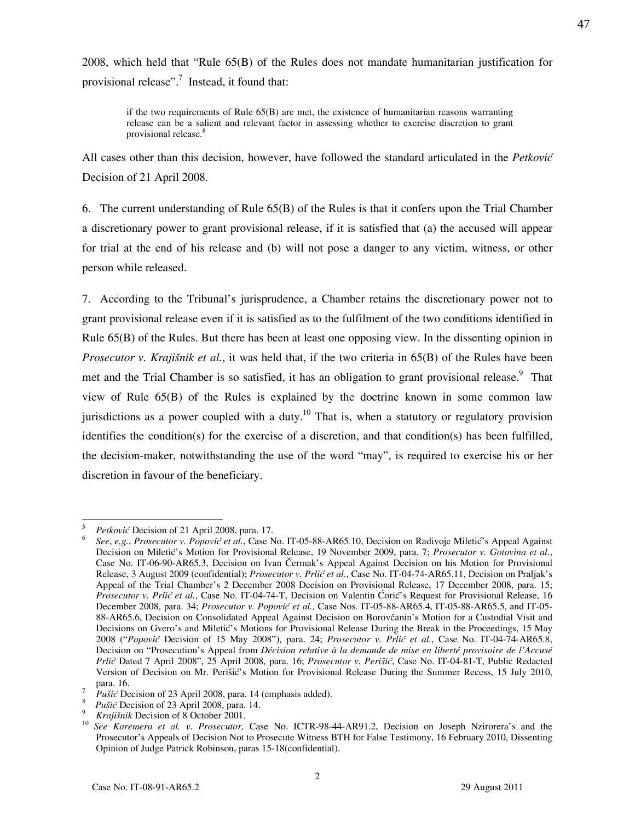2008, which held that "Rule 65(B) of the Rules does not mandate humanitarian justification for provisional release".<sup>7</sup> Instead, it found that:

if the two requirements of Rule  $65(B)$  are met, the existence of humanitarian reasons warranting release can be a salient and relevant factor in assessing whether to exercise discretion to grant provisional release.<sup>8</sup>

All cases other than this decision, however, have followed the standard articulated in the *Petković* Decision of 21 April 2008.

6. The current understanding of Rule 65(B) of the Rules is that it confers upon the Trial Chamber a discretionary power to grant provisional release, if it is satisfied that (a) the accused will appear for trial at the end of his release and (b) will not pose a danger to any victim, witness, or other person while released.

7. According to the Tribunal's jurisprudence, a Chamber retains the discretionary power not to grant provisional release even if it is satisfied as to the fulfilment of the two conditions identified in Rule 65(B) of the Rules. But there has been at least one opposing view. In the dissenting opinion in *Prosecutor v. Krajišnik et al.*, it was held that, if the two criteria in  $65(B)$  of the Rules have been met and the Trial Chamber is so satisfied, it has an obligation to grant provisional release.<sup>9</sup> That view of Rule 65(B) of the Rules is explained by the doctrine known in some common law jurisdictions as a power coupled with a duty.<sup>10</sup> That is, when a statutory or regulatory provision identifies the condition(s) for the exercise of a discretion, and that condition(s) has been fulfilled, the decision-maker, notwithstanding the use of the word "may", is required to exercise his or her discretion in favour of the beneficiary.

 $\overline{a}$ 5 Petković Decision of 21 April 2008, para. 17.

<sup>6</sup> See, e.g., Prosecutor v. Popović et al., Case No. IT-05-88-AR65.10, Decision on Radivoje Miletić's Appeal Against Decision on Miletić's Motion for Provisional Release, 19 November 2009, para. 7; Prosecutor v. Gotovina et al., Case No. IT-06-90-AR65.3, Decision on Ivan Čermak's Appeal Against Decision on his Motion for Provisional Release, 3 August 2009 (confidential); Prosecutor v. Prlić et al., Case No. IT-04-74-AR65.11, Decision on Praljak's Appeal of the Trial Chamber's 2 December 2008 Decision on Provisional Release, 17 December 2008, para. 15; Prosecutor v. Prlić et al., Case No. IT-04-74-T, Decision on Valentin Ćorić's Request for Provisional Release, 16 December 2008, para. 34; Prosecutor v. Popović et al., Case Nos. IT-05-88-AR65.4, IT-05-88-AR65.5, and IT-05-88-AR65.6, Decision on Consolidated Appeal Against Decision on Borovčanin's Motion for a Custodial Visit and Decisions on Gvero's and Miletić's Motions for Provisional Release During the Break in the Proceedings, 15 May 2008 ("Popović Decision of 15 May 2008"), para. 24; Prosecutor v. Prlić et al., Case No. IT-04-74-AR65.8, Decision on "Prosecution's Appeal from Décision relative à la demande de mise en liberté provisoire de l'Accusé Prlić Dated 7 April 2008", 25 April 2008, para. 16; Prosecutor v. Perišić, Case No. IT-04-81-T, Public Redacted Version of Decision on Mr. Perišić's Motion for Provisional Release During the Summer Recess, 15 July 2010, para. 16.

<sup>7</sup> Pušić Decision of 23 April 2008, para. 14 (emphasis added).

<sup>&</sup>lt;sup>8</sup> *Pušić* Decision of 23 April 2008, para. 14.

<sup>&</sup>lt;sup>9</sup> Krajišnik Decision of 8 October 2001.

See Karemera et al. v. Prosecutor, Case No. ICTR-98-44-AR91.2, Decision on Joseph Nzirorera's and the Prosecutor's Appeals of Decision Not to Prosecute Witness BTH for False Testimony, 16 February 2010, Dissenting Opinion of Judge Patrick Robinson, paras 15-18(confidential).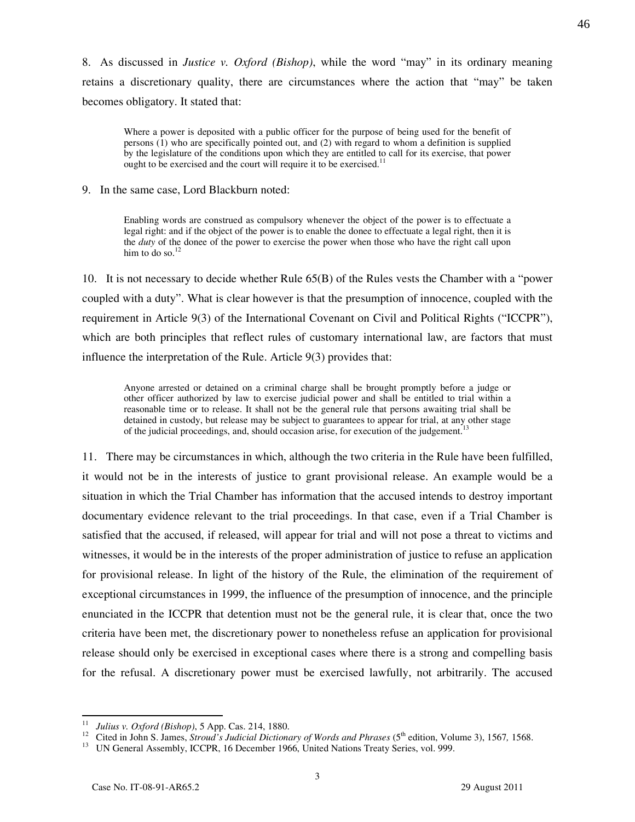8. As discussed in Justice v. Oxford (Bishop), while the word "may" in its ordinary meaning retains a discretionary quality, there are circumstances where the action that "may" be taken becomes obligatory. It stated that:

Where a power is deposited with a public officer for the purpose of being used for the benefit of persons (1) who are specifically pointed out, and (2) with regard to whom a definition is supplied by the legislature of the conditions upon which they are entitled to call for its exercise, that power ought to be exercised and the court will require it to be exercised.<sup>11</sup>

9. In the same case, Lord Blackburn noted:

Enabling words are construed as compulsory whenever the object of the power is to effectuate a legal right: and if the object of the power is to enable the donee to effectuate a legal right, then it is the duty of the donee of the power to exercise the power when those who have the right call upon him to do so. $12$ 

10. It is not necessary to decide whether Rule 65(B) of the Rules vests the Chamber with a "power coupled with a duty". What is clear however is that the presumption of innocence, coupled with the requirement in Article 9(3) of the International Covenant on Civil and Political Rights ("ICCPR"), which are both principles that reflect rules of customary international law, are factors that must influence the interpretation of the Rule. Article 9(3) provides that:

Anyone arrested or detained on a criminal charge shall be brought promptly before a judge or other officer authorized by law to exercise judicial power and shall be entitled to trial within a reasonable time or to release. It shall not be the general rule that persons awaiting trial shall be detained in custody, but release may be subject to guarantees to appear for trial, at any other stage of the judicial proceedings, and, should occasion arise, for execution of the judgement.<sup>1</sup>

11. There may be circumstances in which, although the two criteria in the Rule have been fulfilled, it would not be in the interests of justice to grant provisional release. An example would be a situation in which the Trial Chamber has information that the accused intends to destroy important documentary evidence relevant to the trial proceedings. In that case, even if a Trial Chamber is satisfied that the accused, if released, will appear for trial and will not pose a threat to victims and witnesses, it would be in the interests of the proper administration of justice to refuse an application for provisional release. In light of the history of the Rule, the elimination of the requirement of exceptional circumstances in 1999, the influence of the presumption of innocence, and the principle enunciated in the ICCPR that detention must not be the general rule, it is clear that, once the two criteria have been met, the discretionary power to nonetheless refuse an application for provisional release should only be exercised in exceptional cases where there is a strong and compelling basis for the refusal. A discretionary power must be exercised lawfully, not arbitrarily. The accused

<sup>11</sup> Julius v. Oxford (Bishop), 5 App. Cas. 214, 1880.

<sup>&</sup>lt;sup>12</sup> Cited in John S. James, *Stroud's Judicial Dictionary of Words and Phrases* ( $5<sup>th</sup>$  edition, Volume 3), 1567, 1568.

<sup>&</sup>lt;sup>13</sup> UN General Assembly, ICCPR, 16 December 1966, United Nations Treaty Series, vol. 999.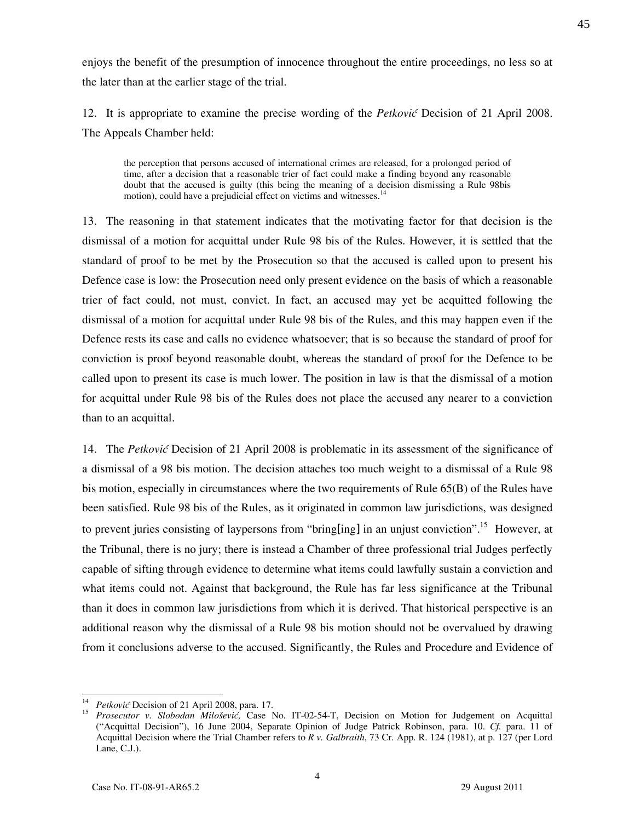enjoys the benefit of the presumption of innocence throughout the entire proceedings, no less so at the later than at the earlier stage of the trial.

12. It is appropriate to examine the precise wording of the Petković Decision of 21 April 2008. The Appeals Chamber held:

the perception that persons accused of international crimes are released, for a prolonged period of time, after a decision that a reasonable trier of fact could make a finding beyond any reasonable doubt that the accused is guilty (this being the meaning of a decision dismissing a Rule 98bis motion), could have a prejudicial effect on victims and witnesses. 14

13. The reasoning in that statement indicates that the motivating factor for that decision is the dismissal of a motion for acquittal under Rule 98 bis of the Rules. However, it is settled that the standard of proof to be met by the Prosecution so that the accused is called upon to present his Defence case is low: the Prosecution need only present evidence on the basis of which a reasonable trier of fact could, not must, convict. In fact, an accused may yet be acquitted following the dismissal of a motion for acquittal under Rule 98 bis of the Rules, and this may happen even if the Defence rests its case and calls no evidence whatsoever; that is so because the standard of proof for conviction is proof beyond reasonable doubt, whereas the standard of proof for the Defence to be called upon to present its case is much lower. The position in law is that the dismissal of a motion for acquittal under Rule 98 bis of the Rules does not place the accused any nearer to a conviction than to an acquittal.

14. The Petković Decision of 21 April 2008 is problematic in its assessment of the significance of a dismissal of a 98 bis motion. The decision attaches too much weight to a dismissal of a Rule 98 bis motion, especially in circumstances where the two requirements of Rule 65(B) of the Rules have been satisfied. Rule 98 bis of the Rules, as it originated in common law jurisdictions, was designed to prevent juries consisting of laypersons from "bring[ing] in an unjust conviction".<sup>15</sup> However, at the Tribunal, there is no jury; there is instead a Chamber of three professional trial Judges perfectly capable of sifting through evidence to determine what items could lawfully sustain a conviction and what items could not. Against that background, the Rule has far less significance at the Tribunal than it does in common law jurisdictions from which it is derived. That historical perspective is an additional reason why the dismissal of a Rule 98 bis motion should not be overvalued by drawing from it conclusions adverse to the accused. Significantly, the Rules and Procedure and Evidence of

<sup>&</sup>lt;sup>14</sup> *Petković* Decision of 21 April 2008, para. 17.<br><sup>15</sup> *Prosequiter* **15** *Slobodan Milošović*, Case **15** 

Prosecutor v. Slobodan Milošević, Case No. IT-02-54-T, Decision on Motion for Judgement on Acquittal ("Acquittal Decision"), 16 June 2004, Separate Opinion of Judge Patrick Robinson, para. 10. Cf. para. 11 of Acquittal Decision where the Trial Chamber refers to R v. Galbraith, 73 Cr. App. R. 124 (1981), at p. 127 (per Lord Lane, C.J.).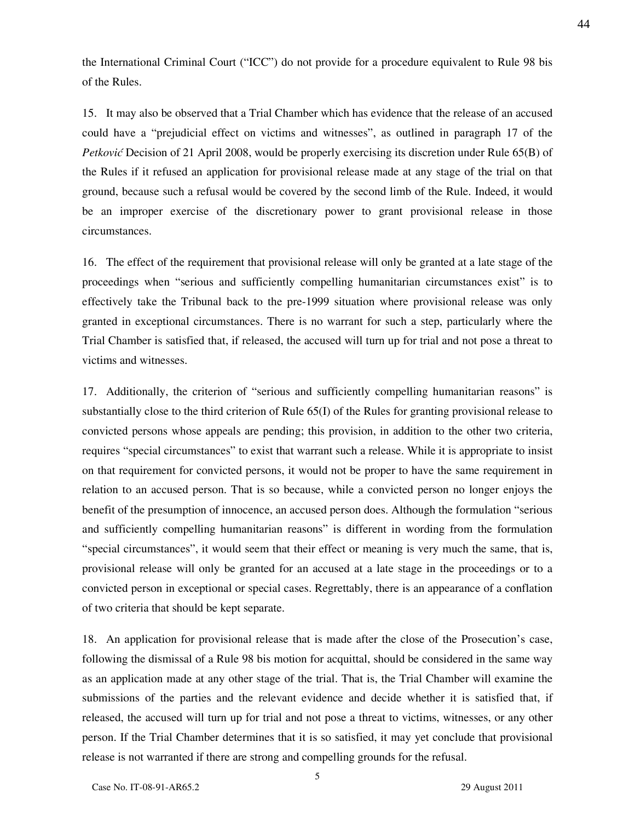the International Criminal Court ("ICC") do not provide for a procedure equivalent to Rule 98 bis of the Rules.

15. It may also be observed that a Trial Chamber which has evidence that the release of an accused could have a "prejudicial effect on victims and witnesses", as outlined in paragraph 17 of the Petković Decision of 21 April 2008, would be properly exercising its discretion under Rule 65(B) of the Rules if it refused an application for provisional release made at any stage of the trial on that ground, because such a refusal would be covered by the second limb of the Rule. Indeed, it would be an improper exercise of the discretionary power to grant provisional release in those circumstances.

16. The effect of the requirement that provisional release will only be granted at a late stage of the proceedings when "serious and sufficiently compelling humanitarian circumstances exist" is to effectively take the Tribunal back to the pre-1999 situation where provisional release was only granted in exceptional circumstances. There is no warrant for such a step, particularly where the Trial Chamber is satisfied that, if released, the accused will turn up for trial and not pose a threat to victims and witnesses.

17. Additionally, the criterion of "serious and sufficiently compelling humanitarian reasons" is substantially close to the third criterion of Rule 65(I) of the Rules for granting provisional release to convicted persons whose appeals are pending; this provision, in addition to the other two criteria, requires "special circumstances" to exist that warrant such a release. While it is appropriate to insist on that requirement for convicted persons, it would not be proper to have the same requirement in relation to an accused person. That is so because, while a convicted person no longer enjoys the benefit of the presumption of innocence, an accused person does. Although the formulation "serious and sufficiently compelling humanitarian reasons" is different in wording from the formulation "special circumstances", it would seem that their effect or meaning is very much the same, that is, provisional release will only be granted for an accused at a late stage in the proceedings or to a convicted person in exceptional or special cases. Regrettably, there is an appearance of a conflation of two criteria that should be kept separate.

18. An application for provisional release that is made after the close of the Prosecution's case, following the dismissal of a Rule 98 bis motion for acquittal, should be considered in the same way as an application made at any other stage of the trial. That is, the Trial Chamber will examine the submissions of the parties and the relevant evidence and decide whether it is satisfied that, if released, the accused will turn up for trial and not pose a threat to victims, witnesses, or any other person. If the Trial Chamber determines that it is so satisfied, it may yet conclude that provisional release is not warranted if there are strong and compelling grounds for the refusal.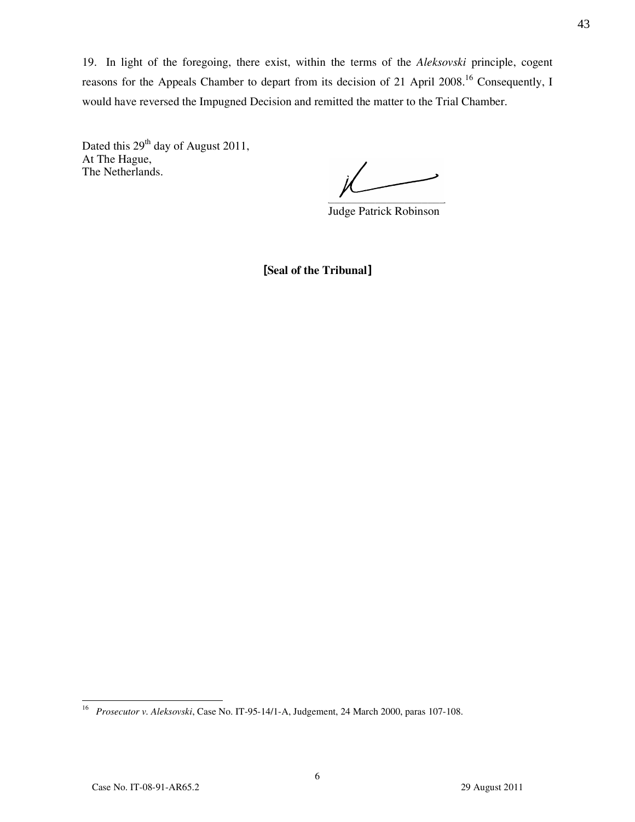19. In light of the foregoing, there exist, within the terms of the Aleksovski principle, cogent reasons for the Appeals Chamber to depart from its decision of 21 April 2008.<sup>16</sup> Consequently, I would have reversed the Impugned Decision and remitted the matter to the Trial Chamber.

Dated this 29<sup>th</sup> day of August 2011, At The Hague, The Netherlands.

 $\frac{1}{\sqrt{1-\frac{1}{2}}}$ 

Judge Patrick Robinson

[Seal of the Tribunal]

 $\frac{1}{16}$ Prosecutor v. Aleksovski, Case No. IT-95-14/1-A, Judgement, 24 March 2000, paras 107-108.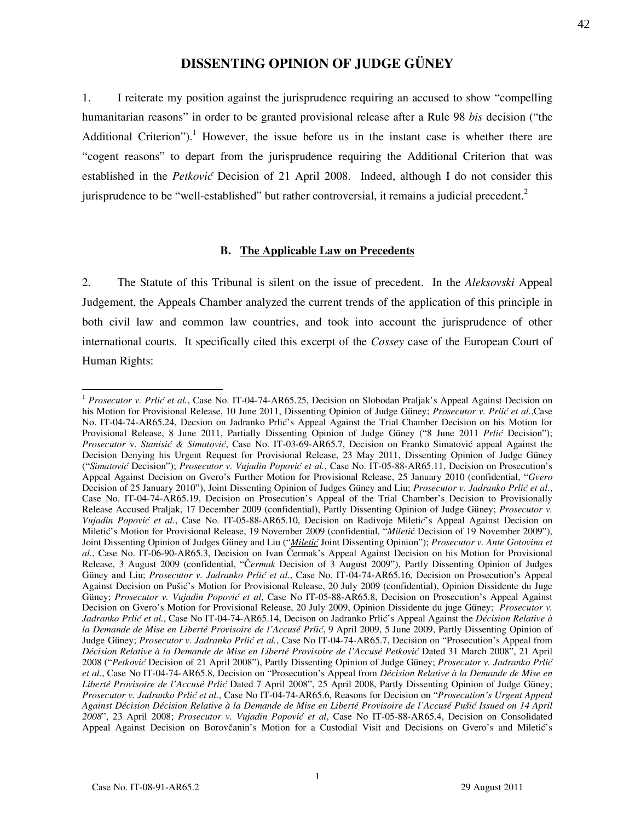# DISSENTING OPINION OF JUDGE GÜNEY

1. I reiterate my position against the jurisprudence requiring an accused to show "compelling humanitarian reasons" in order to be granted provisional release after a Rule 98 bis decision ("the Additional Criterion").<sup>1</sup> However, the issue before us in the instant case is whether there are "cogent reasons" to depart from the jurisprudence requiring the Additional Criterion that was established in the Petković Decision of 21 April 2008. Indeed, although I do not consider this jurisprudence to be "well-established" but rather controversial, it remains a judicial precedent. $<sup>2</sup>$ </sup>

#### B. The Applicable Law on Precedents

2. The Statute of this Tribunal is silent on the issue of precedent. In the Aleksovski Appeal Judgement, the Appeals Chamber analyzed the current trends of the application of this principle in both civil law and common law countries, and took into account the jurisprudence of other international courts. It specifically cited this excerpt of the Cossey case of the European Court of Human Rights:

 $\overline{a}$ 

<sup>&</sup>lt;sup>1</sup> Prosecutor v. Prlić et al., Case No. IT-04-74-AR65.25, Decision on Slobodan Praljak's Appeal Against Decision on his Motion for Provisional Release, 10 June 2011, Dissenting Opinion of Judge Güney; Prosecutor v. Prlić et al.,Case No. IT-04-74-AR65.24, Decsion on Jadranko Prlić's Appeal Against the Trial Chamber Decision on his Motion for Provisional Release, 8 June 2011, Partially Dissenting Opinion of Judge Güney ("8 June 2011 Prlić Decision"); Prosecutor v. Stanisić & Simatović, Case No. IT-03-69-AR65.7, Decision on Franko Simatović appeal Against the Decision Denying his Urgent Request for Provisional Release, 23 May 2011, Dissenting Opinion of Judge Güney ("Simatović Decision"); Prosecutor v. Vujadin Popović et al., Case No. IT-05-88-AR65.11, Decision on Prosecution's Appeal Against Decision on Gvero's Further Motion for Provisional Release, 25 January 2010 (confidential, "Gvero Decision of 25 January 2010"), Joint Dissenting Opinion of Judges Güney and Liu; Prosecutor v. Jadranko Prlić et al., Case No. IT-04-74-AR65.19, Decision on Prosecution's Appeal of the Trial Chamber's Decision to Provisionally Release Accused Praljak, 17 December 2009 (confidential), Partly Dissenting Opinion of Judge Güney; *Prosecutor v.* Vujadin Popović et al., Case No. IT-05-88-AR65.10, Decision on Radivoje Miletić's Appeal Against Decision on Miletić's Motion for Provisional Release, 19 November 2009 (confidential, "Miletić Decision of 19 November 2009"), Joint Dissenting Opinion of Judges Güney and Liu ("*Miletić* Joint Dissenting Opinion"); Prosecutor v. Ante Gotovina et al., Case No. IT-06-90-AR65.3, Decision on Ivan Čermak's Appeal Against Decision on his Motion for Provisional Release, 3 August 2009 (confidential, "Čermak Decision of 3 August 2009"), Partly Dissenting Opinion of Judges Güney and Liu; Prosecutor v. Jadranko Prlić et al., Case No. IT-04-74-AR65.16, Decision on Prosecution's Appeal Against Decision on Pušić's Motion for Provisional Release, 20 July 2009 (confidential), Opinion Dissidente du Juge Güney; Prosecutor v. Vujadin Popović et al, Case No IT-05-88-AR65.8, Decision on Prosecution's Appeal Against Decision on Gvero's Motion for Provisional Release, 20 July 2009, Opinion Dissidente du juge Güney; *Prosecutor v.* Jadranko Prlić et al., Case No IT-04-74-AR65.14, Decison on Jadranko Prlić's Appeal Against the Décision Relative à la Demande de Mise en Liberté Provisoire de l'Accusé Prlić, 9 April 2009, 5 June 2009, Partly Dissenting Opinion of Judge Güney; Prosecutor v. Jadranko Prlić et al., Case No IT-04-74-AR65.7, Decision on "Prosecution's Appeal from Décision Relative à la Demande de Mise en Liberté Provisoire de l'Accusé Petković Dated 31 March 2008", 21 April 2008 ("Petković Decision of 21 April 2008"), Partly Dissenting Opinion of Judge Güney; Prosecutor v. Jadranko Prlić et al., Case No IT-04-74-AR65.8, Decision on "Prosecution's Appeal from Décision Relative à la Demande de Mise en Liberté Provisoire de l'Accusé Prlić Dated 7 April 2008", 25 April 2008, Partly Dissenting Opinion of Judge Güney; Prosecutor v. Jadranko Prlić et al., Case No IT-04-74-AR65.6, Reasons for Decision on "Prosecution's Urgent Appeal Against Décision Décision Relative à la Demande de Mise en Liberté Provisoire de l'Accusé Pušić Issued on 14 April 2008", 23 April 2008; Prosecutor v. Vujadin Popović et al, Case No IT-05-88-AR65.4, Decision on Consolidated Appeal Against Decision on Borovčanin's Motion for a Custodial Visit and Decisions on Gvero's and Miletić's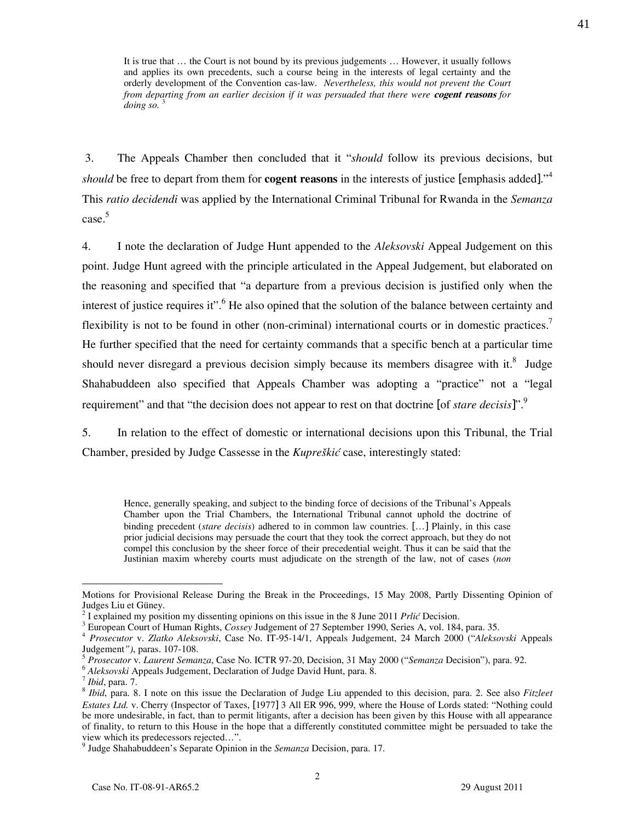It is true that … the Court is not bound by its previous judgements … However, it usually follows and applies its own precedents, such a course being in the interests of legal certainty and the orderly development of the Convention cas-law. Nevertheless, this would not prevent the Court from departing from an earlier decision if it was persuaded that there were **cogent reasons** for  $\omega$ *doing so.*<sup>3</sup>

 3. The Appeals Chamber then concluded that it "should follow its previous decisions, but should be free to depart from them for **cogent reasons** in the interests of justice [emphasis added]."<sup>4</sup> This ratio decidendi was applied by the International Criminal Tribunal for Rwanda in the Semanza case.<sup>5</sup>

4. I note the declaration of Judge Hunt appended to the Aleksovski Appeal Judgement on this point. Judge Hunt agreed with the principle articulated in the Appeal Judgement, but elaborated on the reasoning and specified that "a departure from a previous decision is justified only when the interest of justice requires it".<sup>6</sup> He also opined that the solution of the balance between certainty and flexibility is not to be found in other (non-criminal) international courts or in domestic practices.<sup>7</sup> He further specified that the need for certainty commands that a specific bench at a particular time should never disregard a previous decision simply because its members disagree with it.<sup>8</sup> Judge Shahabuddeen also specified that Appeals Chamber was adopting a "practice" not a "legal requirement" and that "the decision does not appear to rest on that doctrine [of *stare decisis*]".<sup>9</sup>

5. In relation to the effect of domestic or international decisions upon this Tribunal, the Trial Chamber, presided by Judge Cassesse in the Kupreškić case, interestingly stated:

Hence, generally speaking, and subject to the binding force of decisions of the Tribunal's Appeals Chamber upon the Trial Chambers, the International Tribunal cannot uphold the doctrine of binding precedent (*stare decisis*) adhered to in common law countries. [...] Plainly, in this case prior judicial decisions may persuade the court that they took the correct approach, but they do not compel this conclusion by the sheer force of their precedential weight. Thus it can be said that the Justinian maxim whereby courts must adjudicate on the strength of the law, not of cases (non

 $\overline{a}$ 

Motions for Provisional Release During the Break in the Proceedings, 15 May 2008, Partly Dissenting Opinion of Judges Liu et Güney.

 $2 \text{ T}$  explained my position my dissenting opinions on this issue in the 8 June 2011 Prlić Decision.

<sup>&</sup>lt;sup>3</sup> European Court of Human Rights, Cossey Judgement of 27 September 1990, Series A, vol. 184, para. 35.

<sup>&</sup>lt;sup>4</sup> Prosecutor v. Zlatko Aleksovski, Case No. IT-95-14/1, Appeals Judgement, 24 March 2000 ("Aleksovski Appeals Judgement"), paras. 107-108.

<sup>5</sup> Prosecutor v. Laurent Semanza, Case No. ICTR 97-20, Decision, 31 May 2000 ("Semanza Decision"), para. 92.

<sup>&</sup>lt;sup>6</sup> Aleksovski Appeals Judgement, Declaration of Judge David Hunt, para. 8.

 $^7$  *Ibid*, para. 7.

 $8$  Ibid, para. 8. I note on this issue the Declaration of Judge Liu appended to this decision, para. 2. See also Fitzleet Estates Ltd. v. Cherry (Inspector of Taxes, [1977] 3 All ER 996, 999, where the House of Lords stated: "Nothing could be more undesirable, in fact, than to permit litigants, after a decision has been given by this House with all appearance of finality, to return to this House in the hope that a differently constituted committee might be persuaded to take the view which its predecessors rejected…".

<sup>&</sup>lt;sup>9</sup> Judge Shahabuddeen's Separate Opinion in the Semanza Decision, para. 17.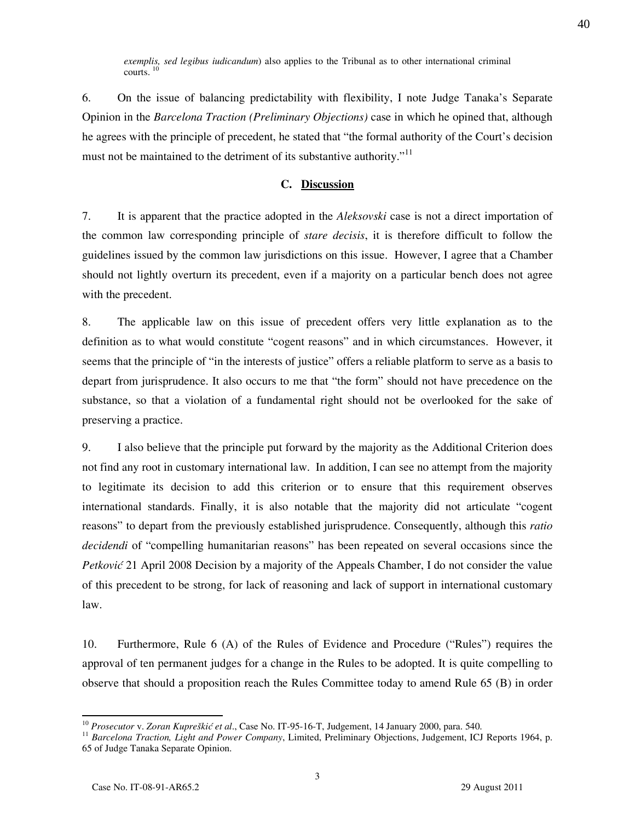exemplis, sed legibus iudicandum) also applies to the Tribunal as to other international criminal courts.  $<sup>10</sup>$ </sup>

6. On the issue of balancing predictability with flexibility, I note Judge Tanaka's Separate Opinion in the *Barcelona Traction (Preliminary Objections)* case in which he opined that, although he agrees with the principle of precedent, he stated that "the formal authority of the Court's decision must not be maintained to the detriment of its substantive authority."<sup>11</sup>

### C. Discussion

7. It is apparent that the practice adopted in the Aleksovski case is not a direct importation of the common law corresponding principle of stare decisis, it is therefore difficult to follow the guidelines issued by the common law jurisdictions on this issue. However, I agree that a Chamber should not lightly overturn its precedent, even if a majority on a particular bench does not agree with the precedent.

8. The applicable law on this issue of precedent offers very little explanation as to the definition as to what would constitute "cogent reasons" and in which circumstances. However, it seems that the principle of "in the interests of justice" offers a reliable platform to serve as a basis to depart from jurisprudence. It also occurs to me that "the form" should not have precedence on the substance, so that a violation of a fundamental right should not be overlooked for the sake of preserving a practice.

9. I also believe that the principle put forward by the majority as the Additional Criterion does not find any root in customary international law. In addition, I can see no attempt from the majority to legitimate its decision to add this criterion or to ensure that this requirement observes international standards. Finally, it is also notable that the majority did not articulate "cogent reasons" to depart from the previously established jurisprudence. Consequently, although this *ratio* decidendi of "compelling humanitarian reasons" has been repeated on several occasions since the Petković 21 April 2008 Decision by a majority of the Appeals Chamber, I do not consider the value of this precedent to be strong, for lack of reasoning and lack of support in international customary law.

10. Furthermore, Rule 6 (A) of the Rules of Evidence and Procedure ("Rules") requires the approval of ten permanent judges for a change in the Rules to be adopted. It is quite compelling to observe that should a proposition reach the Rules Committee today to amend Rule 65 (B) in order

<sup>&</sup>lt;sup>10</sup> Prosecutor v. Zoran Kupreškić et al., Case No. IT-95-16-T, Judgement, 14 January 2000, para. 540.

<sup>&</sup>lt;sup>11</sup> Barcelona Traction, Light and Power Company, Limited, Preliminary Objections, Judgement, ICJ Reports 1964, p. 65 of Judge Tanaka Separate Opinion.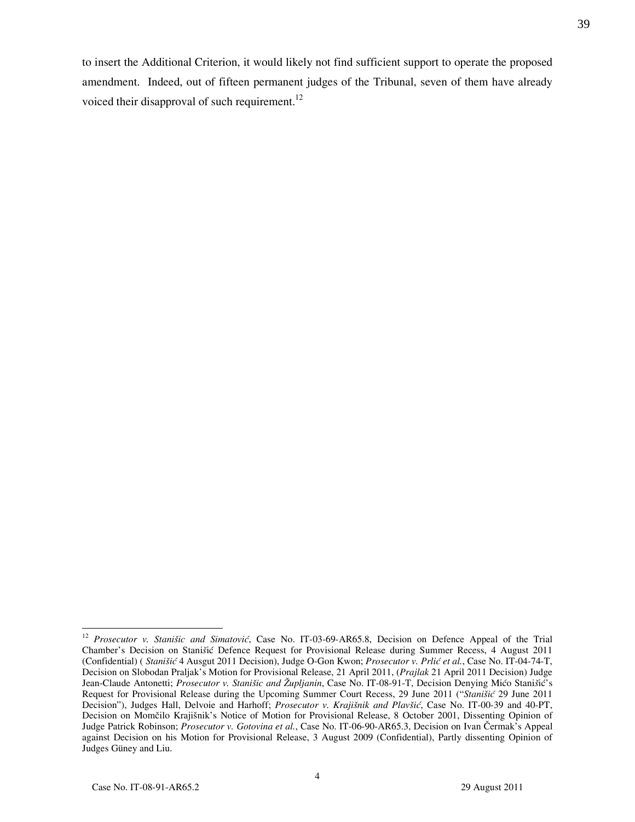to insert the Additional Criterion, it would likely not find sufficient support to operate the proposed amendment. Indeed, out of fifteen permanent judges of the Tribunal, seven of them have already voiced their disapproval of such requirement. $^{12}$ 

 $\overline{a}$  $12$  Prosecutor v. Stanišic and Simatović, Case No. IT-03-69-AR65.8, Decision on Defence Appeal of the Trial Chamber's Decision on Stanišić Defence Request for Provisional Release during Summer Recess, 4 August 2011 (Confidential) ( Stanišić 4 Ausgut 2011 Decision), Judge O-Gon Kwon; Prosecutor v. Prlić et al., Case No. IT-04-74-T, Decision on Slobodan Praljak's Motion for Provisional Release, 21 April 2011, (Prajlak 21 April 2011 Decision) Judge Jean-Claude Antonetti; Prosecutor v. Stanišic and Župljanin, Case No. IT-08-91-T, Decision Denying Mićo Stanišić's Request for Provisional Release during the Upcoming Summer Court Recess, 29 June 2011 ("Stanišić 29 June 2011 Decision"), Judges Hall, Delvoie and Harhoff; Prosecutor v. Krajišnik and Plavšić, Case No. IT-00-39 and 40-PT, Decision on Momčilo Krajišnik's Notice of Motion for Provisional Release, 8 October 2001, Dissenting Opinion of Judge Patrick Robinson; Prosecutor v. Gotovina et al., Case No. IT-06-90-AR65.3, Decision on Ivan Čermak's Appeal against Decision on his Motion for Provisional Release, 3 August 2009 (Confidential), Partly dissenting Opinion of Judges Güney and Liu.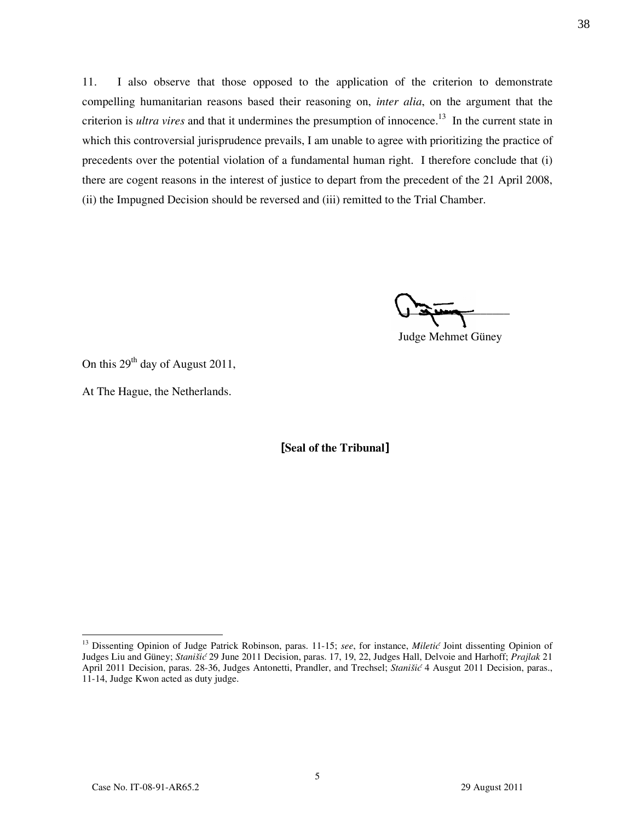11. I also observe that those opposed to the application of the criterion to demonstrate compelling humanitarian reasons based their reasoning on, *inter alia*, on the argument that the criterion is *ultra vires* and that it undermines the presumption of innocence.<sup>13</sup> In the current state in which this controversial jurisprudence prevails, I am unable to agree with prioritizing the practice of precedents over the potential violation of a fundamental human right. I therefore conclude that (i) there are cogent reasons in the interest of justice to depart from the precedent of the 21 April 2008, (ii) the Impugned Decision should be reversed and (iii) remitted to the Trial Chamber.

 $\frac{1}{2}$ 

Judge Mehmet Güney

On this  $29<sup>th</sup>$  day of August 2011,

At The Hague, the Netherlands.

[Seal of the Tribunal]

 $\overline{a}$ 

<sup>&</sup>lt;sup>13</sup> Dissenting Opinion of Judge Patrick Robinson, paras. 11-15; see, for instance, Miletić Joint dissenting Opinion of Judges Liu and Güney; Stanišić 29 June 2011 Decision, paras. 17, 19, 22, Judges Hall, Delvoie and Harhoff; Prajlak 21 April 2011 Decision, paras. 28-36, Judges Antonetti, Prandler, and Trechsel; Stanišić 4 Ausgut 2011 Decision, paras., 11-14, Judge Kwon acted as duty judge.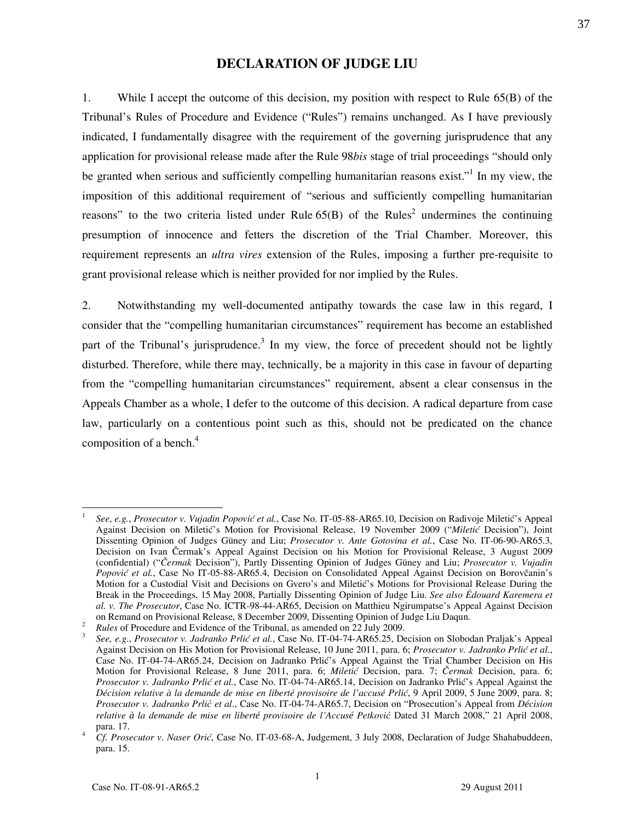### DECLARATION OF JUDGE LIU

1. While I accept the outcome of this decision, my position with respect to Rule 65(B) of the Tribunal's Rules of Procedure and Evidence ("Rules") remains unchanged. As I have previously indicated, I fundamentally disagree with the requirement of the governing jurisprudence that any application for provisional release made after the Rule 98bis stage of trial proceedings "should only be granted when serious and sufficiently compelling humanitarian reasons exist."<sup>1</sup> In my view, the imposition of this additional requirement of "serious and sufficiently compelling humanitarian reasons" to the two criteria listed under Rule  $65(B)$  of the Rules<sup>2</sup> undermines the continuing presumption of innocence and fetters the discretion of the Trial Chamber. Moreover, this requirement represents an *ultra vires* extension of the Rules, imposing a further pre-requisite to grant provisional release which is neither provided for nor implied by the Rules.

2. Notwithstanding my well-documented antipathy towards the case law in this regard, I consider that the "compelling humanitarian circumstances" requirement has become an established part of the Tribunal's jurisprudence.<sup>3</sup> In my view, the force of precedent should not be lightly disturbed. Therefore, while there may, technically, be a majority in this case in favour of departing from the "compelling humanitarian circumstances" requirement, absent a clear consensus in the Appeals Chamber as a whole, I defer to the outcome of this decision. A radical departure from case law, particularly on a contentious point such as this, should not be predicated on the chance composition of a bench. $4$ 

 $\overline{a}$ 

See, e.g., Prosecutor v. Vujadin Popović et al., Case No. IT-05-88-AR65.10, Decision on Radivoje Miletić's Appeal Against Decision on Miletić's Motion for Provisional Release, 19 November 2009 ("Miletić Decision"), Joint Dissenting Opinion of Judges Güney and Liu; Prosecutor v. Ante Gotovina et al., Case No. IT-06-90-AR65.3, Decision on Ivan Čermak's Appeal Against Decision on his Motion for Provisional Release, 3 August 2009 (confidential) ("Čermak Decision"), Partly Dissenting Opinion of Judges Güney and Liu; Prosecutor v. Vujadin Popović et al., Case No IT-05-88-AR65.4, Decision on Consolidated Appeal Against Decision on Borovčanin's Motion for a Custodial Visit and Decisions on Gvero's and Miletić's Motions for Provisional Release During the Break in the Proceedings, 15 May 2008, Partially Dissenting Opinion of Judge Liu. See also Édouard Karemera et al. v. The Prosecutor, Case No. ICTR-98-44-AR65, Decision on Matthieu Ngirumpatse's Appeal Against Decision on Remand on Provisional Release, 8 December 2009, Dissenting Opinion of Judge Liu Daqun.

<sup>2</sup> Rules of Procedure and Evidence of the Tribunal, as amended on 22 July 2009.

<sup>3</sup> See, e.g., Prosecutor v. Jadranko Prlić et al., Case No. IT-04-74-AR65.25, Decision on Slobodan Praljak's Appeal Against Decision on His Motion for Provisional Release, 10 June 2011, para. 6; Prosecutor v. Jadranko Prlić et al., Case No. IT-04-74-AR65.24, Decision on Jadranko Prlić's Appeal Against the Trial Chamber Decision on His Motion for Provisional Release, 8 June 2011, para. 6; Miletić Decision, para. 7; Čermak Decision, para. 6; Prosecutor v. Jadranko Prlić et al., Case No. IT-04-74-AR65.14, Decision on Jadranko Prlić's Appeal Against the Décision relative à la demande de mise en liberté provisoire de l'accusé Prlić, 9 April 2009, 5 June 2009, para. 8; Prosecutor v. Jadranko Prlić et al., Case No. IT-04-74-AR65.7, Decision on "Prosecution's Appeal from D*é*cision relative *à* la demande de mise en libert*é* provisoire de l'Accus*é* Petković Dated 31 March 2008," 21 April 2008, para. 17.

<sup>4</sup> Cf. Prosecutor v. Naser Orić, Case No. IT-03-68-A, Judgement, 3 July 2008, Declaration of Judge Shahabuddeen, para. 15.